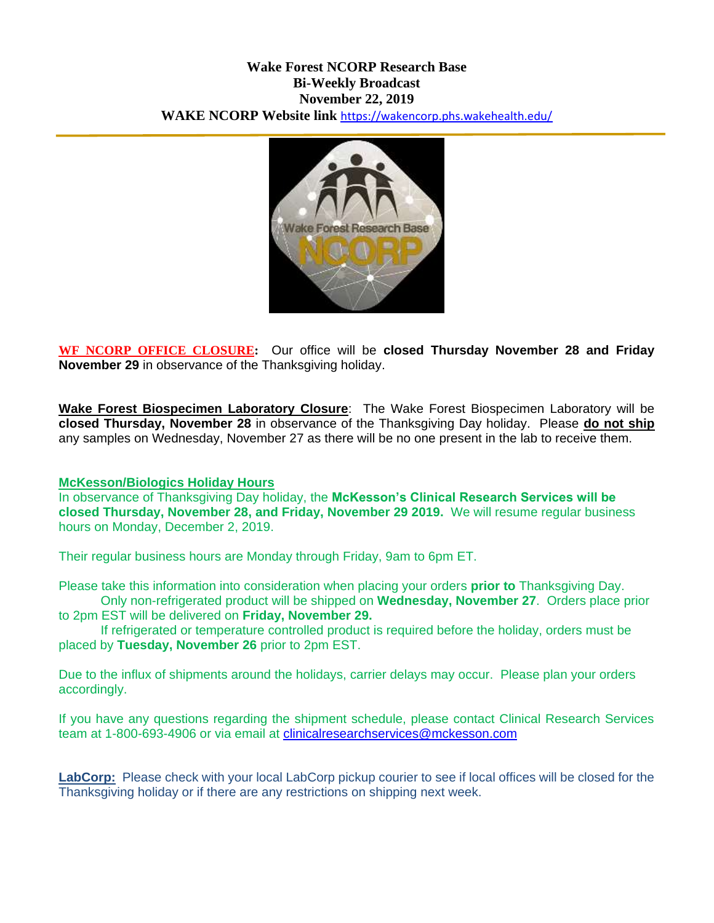# **Wake Forest NCORP Research Base Bi-Weekly Broadcast November 22, 2019 WAKE NCORP Website link** <https://wakencorp.phs.wakehealth.edu/>



**WF NCORP OFFICE CLOSURE:** Our office will be **closed Thursday November 28 and Friday November 29** in observance of the Thanksgiving holiday.

**Wake Forest Biospecimen Laboratory Closure**: The Wake Forest Biospecimen Laboratory will be **closed Thursday, November 28** in observance of the Thanksgiving Day holiday. Please **do not ship** any samples on Wednesday, November 27 as there will be no one present in the lab to receive them.

#### **McKesson/Biologics Holiday Hours**

In observance of Thanksgiving Day holiday, the **McKesson's Clinical Research Services will be closed Thursday, November 28, and Friday, November 29 2019.** We will resume regular business hours on Monday, December 2, 2019.

Their regular business hours are Monday through Friday, 9am to 6pm ET.

Please take this information into consideration when placing your orders **prior to** Thanksgiving Day. Only non-refrigerated product will be shipped on **Wednesday, November 27**. Orders place prior to 2pm EST will be delivered on **Friday, November 29.**

If refrigerated or temperature controlled product is required before the holiday, orders must be placed by **Tuesday, November 26** prior to 2pm EST.

Due to the influx of shipments around the holidays, carrier delays may occur. Please plan your orders accordingly.

If you have any questions regarding the shipment schedule, please contact Clinical Research Services team at 1-800-693-4906 or via email at [clinicalresearchservices@mckesson.com](mailto:clinicalresearchservices@mckesson.com)

**LabCorp:** Please check with your local LabCorp pickup courier to see if local offices will be closed for the Thanksgiving holiday or if there are any restrictions on shipping next week.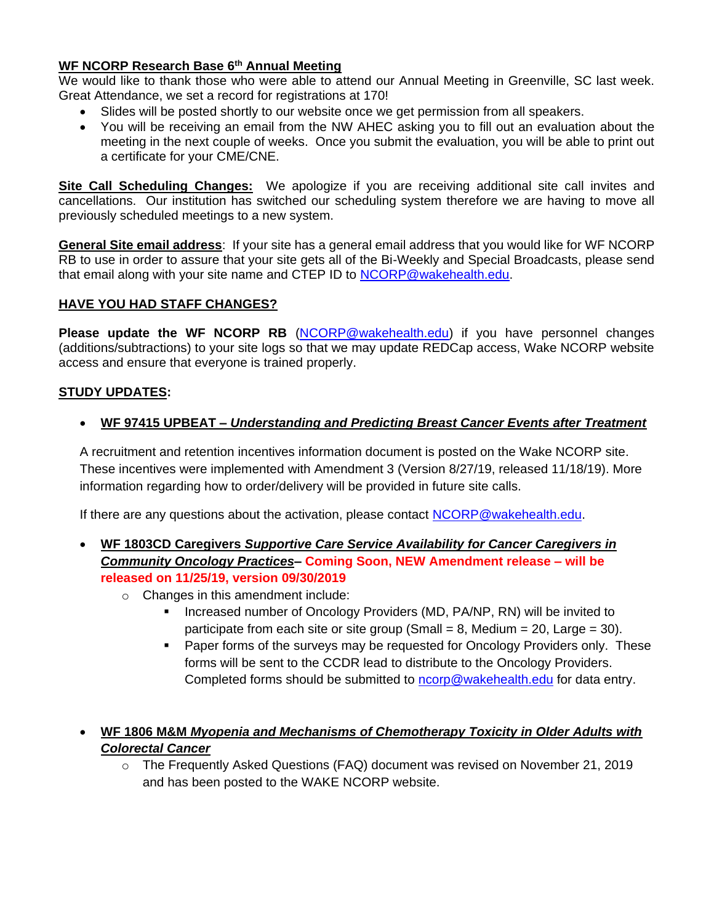# **WF NCORP Research Base 6th Annual Meeting**

We would like to thank those who were able to attend our Annual Meeting in Greenville, SC last week. Great Attendance, we set a record for registrations at 170!

- Slides will be posted shortly to our website once we get permission from all speakers.
- You will be receiving an email from the NW AHEC asking you to fill out an evaluation about the meeting in the next couple of weeks. Once you submit the evaluation, you will be able to print out a certificate for your CME/CNE.

**Site Call Scheduling Changes:** We apologize if you are receiving additional site call invites and cancellations. Our institution has switched our scheduling system therefore we are having to move all previously scheduled meetings to a new system.

**General Site email address**: If your site has a general email address that you would like for WF NCORP RB to use in order to assure that your site gets all of the Bi-Weekly and Special Broadcasts, please send that email along with your site name and CTEP ID to [NCORP@wakehealth.edu.](mailto:NCORP@wakehealth.edu)

### **HAVE YOU HAD STAFF CHANGES?**

**Please update the WF NCORP RB** [\(NCORP@wakehealth.edu\)](mailto:NCORP@wakehealth.edu) if you have personnel changes (additions/subtractions) to your site logs so that we may update REDCap access, Wake NCORP website access and ensure that everyone is trained properly.

### **STUDY UPDATES:**

**WF 97415 UPBEAT –** *Understanding and Predicting Breast Cancer Events after Treatment*

A recruitment and retention incentives information document is posted on the Wake NCORP site. These incentives were implemented with Amendment 3 (Version 8/27/19, released 11/18/19). More information regarding how to order/delivery will be provided in future site calls.

If there are any questions about the activation, please contact [NCORP@wakehealth.edu.](mailto:NCORP@wakehealth.edu)

- **WF 1803CD Caregivers** *Supportive Care Service Availability for Cancer Caregivers in Community Oncology Practices***– Coming Soon, NEW Amendment release – will be released on 11/25/19, version 09/30/2019**
	- o Changes in this amendment include:
		- Increased number of Oncology Providers (MD, PA/NP, RN) will be invited to participate from each site or site group (Small  $= 8$ , Medium  $= 20$ , Large  $= 30$ ).
		- Paper forms of the surveys may be requested for Oncology Providers only. These forms will be sent to the CCDR lead to distribute to the Oncology Providers. Completed forms should be submitted to [ncorp@wakehealth.edu](mailto:ncorp@wakehealth.edu) for data entry.
- **WF 1806 M&M** *Myopenia and Mechanisms of Chemotherapy Toxicity in Older Adults with Colorectal Cancer*
	- o The Frequently Asked Questions (FAQ) document was revised on November 21, 2019 and has been posted to the WAKE NCORP website.